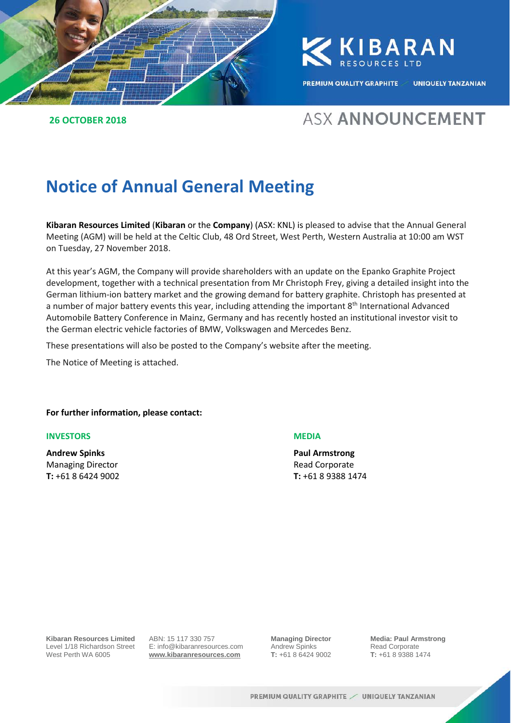

**26 OCTOBER 2018**

KKIBARAN

PREMIUM QUALITY GRAPHITE UNIQUELY TANZANIAN

## **ASX ANNOUNCEMENT**

## **Notice of Annual General Meeting**

**Kibaran Resources Limited** (**Kibaran** or the **Company**) (ASX: KNL) is pleased to advise that the Annual General Meeting (AGM) will be held at the Celtic Club, 48 Ord Street, West Perth, Western Australia at 10:00 am WST on Tuesday, 27 November 2018.

At this year's AGM, the Company will provide shareholders with an update on the Epanko Graphite Project development, together with a technical presentation from Mr Christoph Frey, giving a detailed insight into the German lithium-ion battery market and the growing demand for battery graphite. Christoph has presented at a number of major battery events this year, including attending the important 8<sup>th</sup> International Advanced Automobile Battery Conference in Mainz, Germany and has recently hosted an institutional investor visit to the German electric vehicle factories of BMW, Volkswagen and Mercedes Benz.

These presentations will also be posted to the Company's website after the meeting.

The Notice of Meeting is attached.

**For further information, please contact:**

#### **INVESTORS MEDIA**

**Andrew Spinks Paul Armstrong**  Managing Director **Managing Director Read Corporate T:** +61 8 6424 9002 **T:** +61 8 9388 1474



**Kibaran Resources Limited** Level 1/18 Richardson Street West Perth WA 6005

ABN: 15 117 330 757 E: info@kibaranresources.com **www.kibaranresources.com**

**Managing Director** Andrew Spinks **T:** +61 8 6424 9002 **Media: Paul Armstrong** Read Corporate **T:** +61 8 9388 1474 **1**

PREMIUM QUALITY GRAPHITE / UNIQUELY TANZANIAN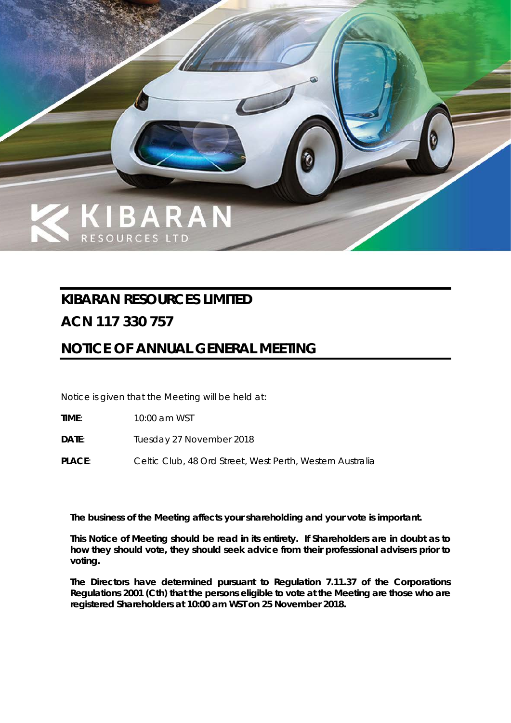

## **KIBARAN RESOURCES LIMITED**

## **ACN 117 330 757**

## **NOTICE OF ANNUAL GENERAL MEETING**

Notice is given that the Meeting will be held at:

**TIME**: 10:00 am WST

**DATE**: Tuesday 27 November 2018

PLACE: Celtic Club, 48 Ord Street, West Perth, Western Australia

*The business of the Meeting affects your shareholding and your vote is important.*

*This Notice of Meeting should be read in its entirety. If Shareholders are in doubt as to how they should vote, they should seek advice from their professional advisers prior to voting.*

*The Directors have determined pursuant to Regulation 7.11.37 of the Corporations Regulations 2001 (Cth) that the persons eligible to vote at the Meeting are those who are registered Shareholders at 10:00 am WST on 25 November 2018.*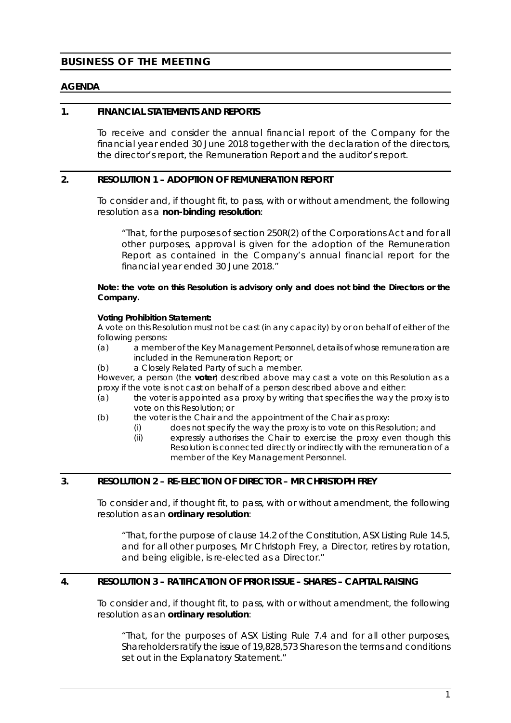#### **BUSINESS OF THE MEETING**

#### **AGENDA**

#### **1. FINANCIAL STATEMENTS AND REPORTS**

To receive and consider the annual financial report of the Company for the financial year ended 30 June 2018 together with the declaration of the directors, the director's report, the Remuneration Report and the auditor's report.

#### **2. RESOLUTION 1 – ADOPTION OF REMUNERATION REPORT**

To consider and, if thought fit, to pass, with or without amendment, the following resolution as a **non-binding resolution**:

*"That, for the purposes of section 250R(2) of the Corporations Act and for all other purposes, approval is given for the adoption of the Remuneration Report as contained in the Company's annual financial report for the financial year ended 30 June 2018."*

**Note: the vote on this Resolution is advisory only and does not bind the Directors or the Company.**

#### **Voting Prohibition Statement:**

A vote on this Resolution must not be cast (in any capacity) by or on behalf of either of the following persons:

- (a) a member of the Key Management Personnel, details of whose remuneration are included in the Remuneration Report; or
- (b) a Closely Related Party of such a member.

However, a person (the **voter**) described above may cast a vote on this Resolution as a proxy if the vote is not cast on behalf of a person described above and either:

- (a) the voter is appointed as a proxy by writing that specifies the way the proxy is to vote on this Resolution; or
- (b) the voter is the Chair and the appointment of the Chair as proxy:
	- (i) does not specify the way the proxy is to vote on this Resolution; and
	- (ii) expressly authorises the Chair to exercise the proxy even though this Resolution is connected directly or indirectly with the remuneration of a member of the Key Management Personnel.

#### <span id="page-2-0"></span>**3. RESOLUTION 2 – RE-ELECTION OF DIRECTOR – MR CHRISTOPH FREY**

To consider and, if thought fit, to pass, with or without amendment, the following resolution as an **ordinary resolution**:

*"That, for the purpose of clause 14.2 of the Constitution, ASX Listing Rule 14.5, and for all other purposes, Mr Christoph Frey, a Director, retires by rotation, and being eligible, is re-elected as a Director."*

#### <span id="page-2-1"></span>**4. RESOLUTION 3 – RATIFICATION OF PRIOR ISSUE – SHARES – CAPITAL RAISING**

To consider and, if thought fit, to pass, with or without amendment, the following resolution as an **ordinary resolution**:

*"That, for the purposes of ASX Listing Rule 7.4 and for all other purposes, Shareholders ratify the issue of 19,828,573 Shares on the terms and conditions set out in the Explanatory Statement."*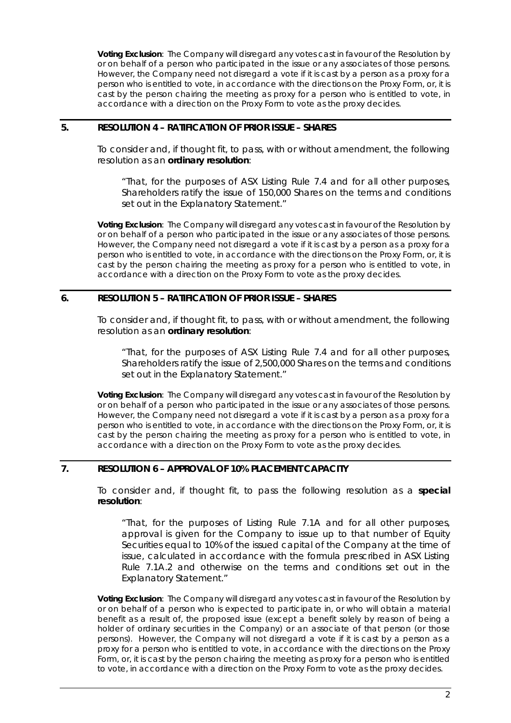**Voting Exclusion**: The Company will disregard any votes cast in favour of the Resolution by or on behalf of a person who participated in the issue or any associates of those persons. However, the Company need not disregard a vote if it is cast by a person as a proxy for a person who is entitled to vote, in accordance with the directions on the Proxy Form, or, it is cast by the person chairing the meeting as proxy for a person who is entitled to vote, in accordance with a direction on the Proxy Form to vote as the proxy decides.

#### <span id="page-3-0"></span>**5. RESOLUTION 4 – RATIFICATION OF PRIOR ISSUE – SHARES**

To consider and, if thought fit, to pass, with or without amendment, the following resolution as an **ordinary resolution**:

*"That, for the purposes of ASX Listing Rule 7.4 and for all other purposes, Shareholders ratify the issue of 150,000 Shares on the terms and conditions set out in the Explanatory Statement."*

**Voting Exclusion**: The Company will disregard any votes cast in favour of the Resolution by or on behalf of a person who participated in the issue or any associates of those persons. However, the Company need not disregard a vote if it is cast by a person as a proxy for a person who is entitled to vote, in accordance with the directions on the Proxy Form, or, it is cast by the person chairing the meeting as proxy for a person who is entitled to vote, in accordance with a direction on the Proxy Form to vote as the proxy decides.

#### <span id="page-3-1"></span>**6. RESOLUTION 5 – RATIFICATION OF PRIOR ISSUE – SHARES**

To consider and, if thought fit, to pass, with or without amendment, the following resolution as an **ordinary resolution**:

*"That, for the purposes of ASX Listing Rule 7.4 and for all other purposes, Shareholders ratify the issue of 2,500,000 Shares on the terms and conditions set out in the Explanatory Statement."*

**Voting Exclusion**: The Company will disregard any votes cast in favour of the Resolution by or on behalf of a person who participated in the issue or any associates of those persons. However, the Company need not disregard a vote if it is cast by a person as a proxy for a person who is entitled to vote, in accordance with the directions on the Proxy Form, or, it is cast by the person chairing the meeting as proxy for a person who is entitled to vote, in accordance with a direction on the Proxy Form to vote as the proxy decides.

#### <span id="page-3-2"></span>**7. RESOLUTION 6 – APPROVAL OF 10% PLACEMENT CAPACITY**

To consider and, if thought fit, to pass the following resolution as a **special resolution**:

*"That, for the purposes of Listing Rule 7.1A and for all other purposes, approval is given for the Company to issue up to that number of Equity Securities equal to 10% of the issued capital of the Company at the time of issue, calculated in accordance with the formula prescribed in ASX Listing Rule 7.1A.2 and otherwise on the terms and conditions set out in the Explanatory Statement."*

**Voting Exclusion**: The Company will disregard any votes cast in favour of the Resolution by or on behalf of a person who is expected to participate in, or who will obtain a material benefit as a result of, the proposed issue (except a benefit solely by reason of being a holder of ordinary securities in the Company) or an associate of that person (or those persons). However, the Company will not disregard a vote if it is cast by a person as a proxy for a person who is entitled to vote, in accordance with the directions on the Proxy Form, or, it is cast by the person chairing the meeting as proxy for a person who is entitled to vote, in accordance with a direction on the Proxy Form to vote as the proxy decides.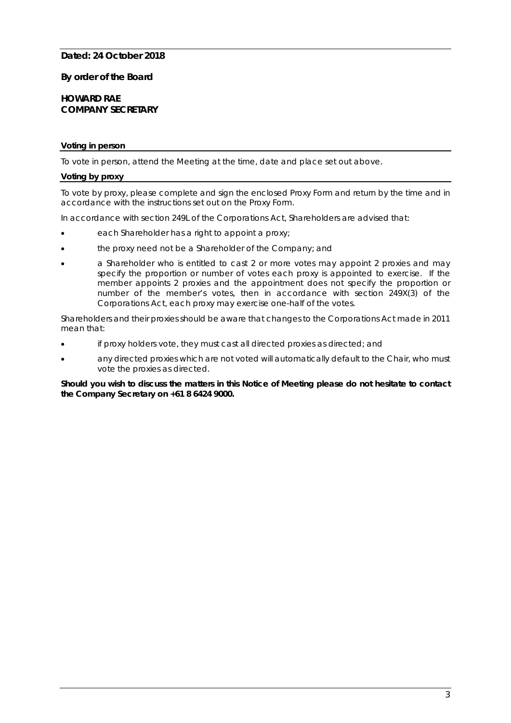#### **Dated: 24 October 2018**

#### **By order of the Board**

#### **HOWARD RAE COMPANY SECRETARY**

#### **Voting in person**

To vote in person, attend the Meeting at the time, date and place set out above.

#### **Voting by proxy**

To vote by proxy, please complete and sign the enclosed Proxy Form and return by the time and in accordance with the instructions set out on the Proxy Form.

In accordance with section 249L of the Corporations Act, Shareholders are advised that:

- each Shareholder has a right to appoint a proxy;
- the proxy need not be a Shareholder of the Company; and
- a Shareholder who is entitled to cast 2 or more votes may appoint 2 proxies and may specify the proportion or number of votes each proxy is appointed to exercise. If the member appoints 2 proxies and the appointment does not specify the proportion or number of the member's votes, then in accordance with section 249X(3) of the Corporations Act, each proxy may exercise one-half of the votes.

Shareholders and their proxies should be aware that changes to the Corporations Act made in 2011 mean that:

- if proxy holders vote, they must cast all directed proxies as directed; and
- any directed proxies which are not voted will automatically default to the Chair, who must vote the proxies as directed.

#### *Should you wish to discuss the matters in this Notice of Meeting please do not hesitate to contact the Company Secretary on +61 8 6424 9000.*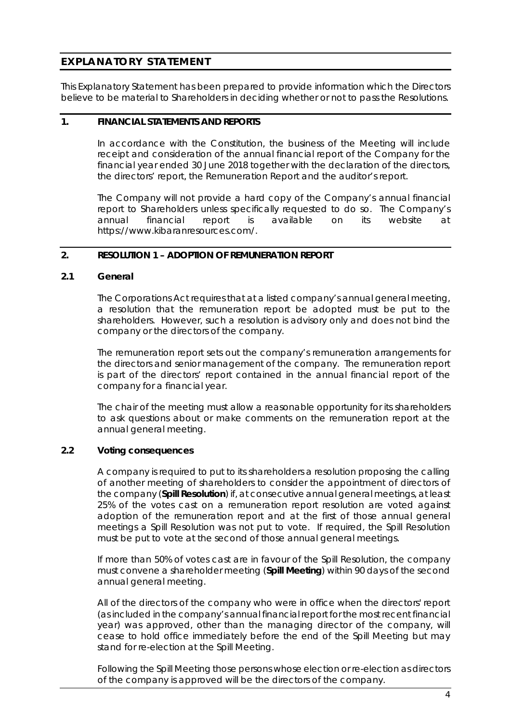#### **EXPLANATORY STATEMENT**

This Explanatory Statement has been prepared to provide information which the Directors believe to be material to Shareholders in deciding whether or not to pass the Resolutions.

#### **1. FINANCIAL STATEMENTS AND REPORTS**

In accordance with the Constitution, the business of the Meeting will include receipt and consideration of the annual financial report of the Company for the financial year ended 30 June 2018 together with the declaration of the directors, the directors' report, the Remuneration Report and the auditor's report.

The Company will not provide a hard copy of the Company's annual financial report to Shareholders unless specifically requested to do so. The Company's annual financial report is available on its website at https://www.kibaranresources.com/.

#### **2. RESOLUTION 1 – ADOPTION OF REMUNERATION REPORT**

#### **2.1 General**

The Corporations Act requires that at a listed company's annual general meeting, a resolution that the remuneration report be adopted must be put to the shareholders. However, such a resolution is advisory only and does not bind the company or the directors of the company.

The remuneration report sets out the company's remuneration arrangements for the directors and senior management of the company. The remuneration report is part of the directors' report contained in the annual financial report of the company for a financial year.

The chair of the meeting must allow a reasonable opportunity for its shareholders to ask questions about or make comments on the remuneration report at the annual general meeting.

#### **2.2 Voting consequences**

A company is required to put to its shareholders a resolution proposing the calling of another meeting of shareholders to consider the appointment of directors of the company (**Spill Resolution**) if, at consecutive annual general meetings, at least 25% of the votes cast on a remuneration report resolution are voted against adoption of the remuneration report and at the first of those annual general meetings a Spill Resolution was not put to vote. If required, the Spill Resolution must be put to vote at the second of those annual general meetings.

If more than 50% of votes cast are in favour of the Spill Resolution, the company must convene a shareholder meeting (**Spill Meeting**) within 90 days of the second annual general meeting.

All of the directors of the company who were in office when the directors' report (as included in the company's annual financial report for the most recent financial year) was approved, other than the managing director of the company, will cease to hold office immediately before the end of the Spill Meeting but may stand for re-election at the Spill Meeting.

Following the Spill Meeting those persons whose election or re-election as directors of the company is approved will be the directors of the company.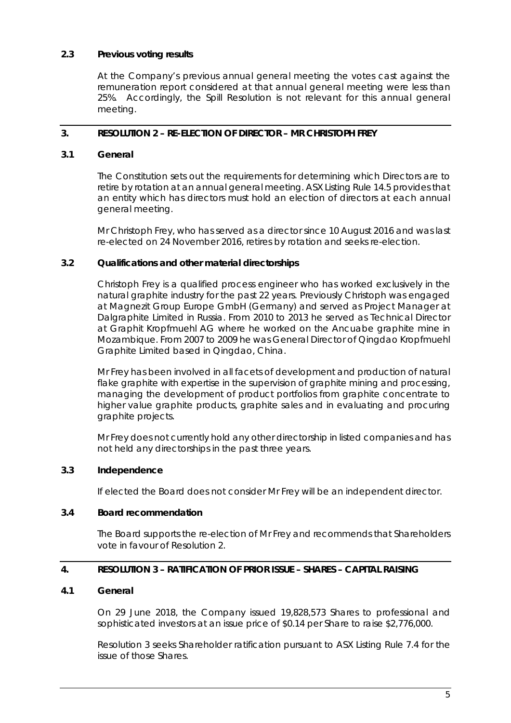#### **2.3 Previous voting results**

At the Company's previous annual general meeting the votes cast against the remuneration report considered at that annual general meeting were less than 25%. Accordingly, the Spill Resolution is not relevant for this annual general meeting.

#### **3. RESOLUTION 2 – RE-ELECTION OF DIRECTOR – MR CHRISTOPH FREY**

#### **3.1 General**

The Constitution sets out the requirements for determining which Directors are to retire by rotation at an annual general meeting. ASX Listing Rule 14.5 provides that an entity which has directors must hold an election of directors at each annual general meeting.

Mr Christoph Frey, who has served as a director since 10 August 2016 and was last re-elected on 24 November 2016, retires by rotation and seeks re-election.

#### **3.2 Qualifications and other material directorships**

Christoph Frey is a qualified process engineer who has worked exclusively in the natural graphite industry for the past 22 years. Previously Christoph was engaged at Magnezit Group Europe GmbH (Germany) and served as Project Manager at Dalgraphite Limited in Russia. From 2010 to 2013 he served as Technical Director at Graphit Kropfmuehl AG where he worked on the Ancuabe graphite mine in Mozambique. From 2007 to 2009 he was General Director of Qingdao Kropfmuehl Graphite Limited based in Qingdao, China.

Mr Frey has been involved in all facets of development and production of natural flake graphite with expertise in the supervision of graphite mining and processing, managing the development of product portfolios from graphite concentrate to higher value graphite products, graphite sales and in evaluating and procuring graphite projects.

Mr Frey does not currently hold any other directorship in listed companies and has not held any directorships in the past three years.

#### **3.3 Independence**

If elected the Board does not consider Mr Frey will be an independent director.

#### **3.4 Board recommendation**

The Board supports the re-election of Mr Frey and recommends that Shareholders vote in favour of [Resolution 2.](#page-2-0)

#### **4. RESOLUTION 3 – RATIFICATION OF PRIOR ISSUE – SHARES – CAPITAL RAISING**

#### <span id="page-6-0"></span>**4.1 General**

On 29 June 2018, the Company issued 19,828,573 Shares to professional and sophisticated investors at an issue price of \$0.14 per Share to raise \$2,776,000.

[Resolution 3](#page-2-1) seeks Shareholder ratification pursuant to ASX Listing Rule 7.4 for the issue of those Shares.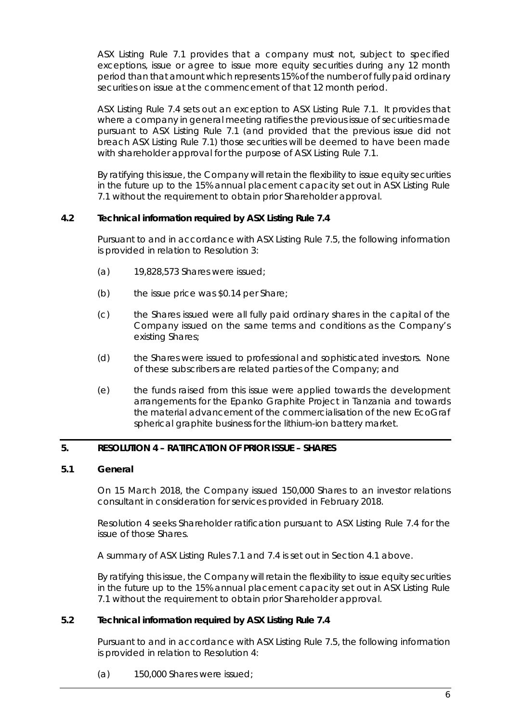ASX Listing Rule 7.1 provides that a company must not, subject to specified exceptions, issue or agree to issue more equity securities during any 12 month period than that amount which represents 15% of the number of fully paid ordinary securities on issue at the commencement of that 12 month period.

ASX Listing Rule 7.4 sets out an exception to ASX Listing Rule 7.1. It provides that where a company in general meeting ratifies the previous issue of securities made pursuant to ASX Listing Rule 7.1 (and provided that the previous issue did not breach ASX Listing Rule 7.1) those securities will be deemed to have been made with shareholder approval for the purpose of ASX Listing Rule 7.1.

By ratifying this issue, the Company will retain the flexibility to issue equity securities in the future up to the 15% annual placement capacity set out in ASX Listing Rule 7.1 without the requirement to obtain prior Shareholder approval.

#### **4.2 Technical information required by ASX Listing Rule 7.4**

Pursuant to and in accordance with ASX Listing Rule 7.5, the following information is provided in relation to [Resolution 3:](#page-2-1)

- (a) 19,828,573 Shares were issued;
- (b) the issue price was \$0.14 per Share;
- (c) the Shares issued were all fully paid ordinary shares in the capital of the Company issued on the same terms and conditions as the Company's existing Shares;
- (d) the Shares were issued to professional and sophisticated investors. None of these subscribers are related parties of the Company; and
- (e) the funds raised from this issue were applied towards the development arrangements for the Epanko Graphite Project in Tanzania and towards the material advancement of the commercialisation of the new EcoGraf spherical graphite business for the lithium-ion battery market.

#### **5. RESOLUTION 4 – RATIFICATION OF PRIOR ISSUE – SHARES**

#### **5.1 General**

On 15 March 2018, the Company issued 150,000 Shares to an investor relations consultant in consideration for services provided in February 2018.

Resolution 4 seeks Shareholder ratification pursuant to ASX Listing Rule 7.4 for the issue of those Shares.

A summary of ASX Listing Rules 7.1 and 7.4 is set out in Section [4.1](#page-6-0) above.

By ratifying this issue, the Company will retain the flexibility to issue equity securities in the future up to the 15% annual placement capacity set out in ASX Listing Rule 7.1 without the requirement to obtain prior Shareholder approval.

#### **5.2 Technical information required by ASX Listing Rule 7.4**

Pursuant to and in accordance with ASX Listing Rule 7.5, the following information is provided in relation to [Resolution 4:](#page-3-0)

(a) 150,000 Shares were issued;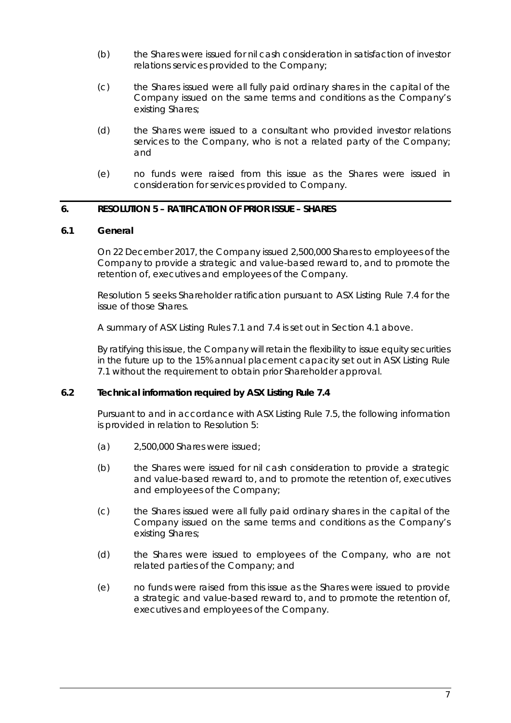- (b) the Shares were issued for nil cash consideration in satisfaction of investor relations services provided to the Company;
- (c) the Shares issued were all fully paid ordinary shares in the capital of the Company issued on the same terms and conditions as the Company's existing Shares;
- (d) the Shares were issued to a consultant who provided investor relations services to the Company, who is not a related party of the Company; and
- (e) no funds were raised from this issue as the Shares were issued in consideration for services provided to Company.

#### **6. RESOLUTION 5 – RATIFICATION OF PRIOR ISSUE – SHARES**

#### **6.1 General**

On 22 December 2017, the Company issued 2,500,000 Shares to employees of the Company to provide a strategic and value-based reward to, and to promote the retention of, executives and employees of the Company.

[Resolution 5](#page-3-1) seeks Shareholder ratification pursuant to ASX Listing Rule 7.4 for the issue of those Shares.

A summary of ASX Listing Rules 7.1 and 7.4 is set out in Section [4.1](#page-6-0) above.

By ratifying this issue, the Company will retain the flexibility to issue equity securities in the future up to the 15% annual placement capacity set out in ASX Listing Rule 7.1 without the requirement to obtain prior Shareholder approval.

#### **6.2 Technical information required by ASX Listing Rule 7.4**

Pursuant to and in accordance with ASX Listing Rule 7.5, the following information is provided in relation to [Resolution 5:](#page-3-1)

- (a) 2,500,000 Shares were issued;
- (b) the Shares were issued for nil cash consideration to provide a strategic and value-based reward to, and to promote the retention of, executives and employees of the Company;
- (c) the Shares issued were all fully paid ordinary shares in the capital of the Company issued on the same terms and conditions as the Company's existing Shares;
- (d) the Shares were issued to employees of the Company, who are not related parties of the Company; and
- (e) no funds were raised from this issue as the Shares were issued to provide a strategic and value-based reward to, and to promote the retention of, executives and employees of the Company.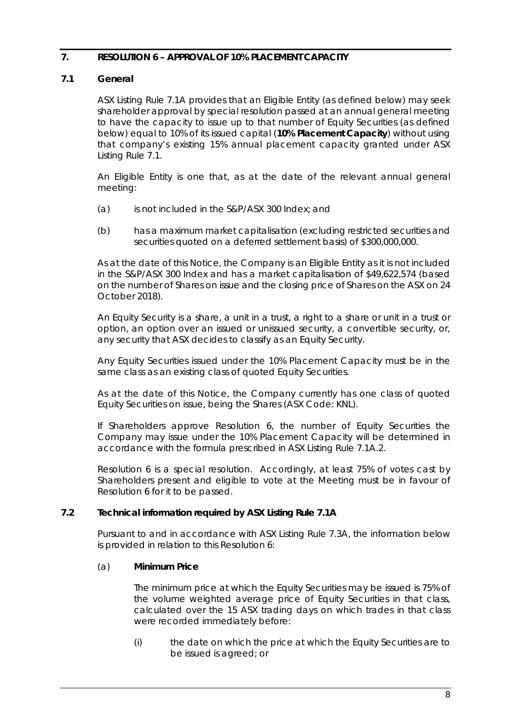#### **7. RESOLUTION 6 – APPROVAL OF 10% PLACEMENT CAPACITY**

#### <span id="page-9-1"></span>**7.1 General**

ASX Listing Rule 7.1A provides that an Eligible Entity (as defined below) may seek shareholder approval by special resolution passed at an annual general meeting to have the capacity to issue up to that number of Equity Securities (as defined below) equal to 10% of its issued capital (**10% Placement Capacity**) without using that company's existing 15% annual placement capacity granted under ASX Listing Rule 7.1.

An Eligible Entity is one that, as at the date of the relevant annual general meeting:

- (a) is not included in the S&P/ASX 300 Index; and
- (b) has a maximum market capitalisation (excluding restricted securities and securities quoted on a deferred settlement basis) of \$300,000,000.

As at the date of this Notice, the Company is an Eligible Entity as it is not included in the S&P/ASX 300 Index and has a market capitalisation of \$49,622,574 (based on the number of Shares on issue and the closing price of Shares on the ASX on 24 October 2018).

An Equity Security is a share, a unit in a trust, a right to a share or unit in a trust or option, an option over an issued or unissued security, a convertible security, or, any security that ASX decides to classify as an Equity Security.

Any Equity Securities issued under the 10% Placement Capacity must be in the same class as an existing class of quoted Equity Securities.

As at the date of this Notice, the Company currently has one class of quoted Equity Securities on issue, being the Shares (ASX Code: KNL).

If Shareholders approve [Resolution 6,](#page-3-2) the number of Equity Securities the Company may issue under the 10% Placement Capacity will be determined in accordance with the formula prescribed in ASX Listing Rule 7.1A.2.

[Resolution](#page-3-2) 6 is a special resolution. Accordingly, at least 75% of votes cast by Shareholders present and eligible to vote at the Meeting must be in favour of [Resolution 6](#page-3-2) for it to be passed.

#### **7.2 Technical information required by ASX Listing Rule 7.1A**

Pursuant to and in accordance with ASX Listing Rule 7.3A, the information below is provided in relation to thi[s Resolution 6:](#page-3-2)

#### (a) **Minimum Price**

The minimum price at which the Equity Securities may be issued is 75% of the volume weighted average price of Equity Securities in that class, calculated over the 15 ASX trading days on which trades in that class were recorded immediately before:

<span id="page-9-0"></span>(i) the date on which the price at which the Equity Securities are to be issued is agreed; or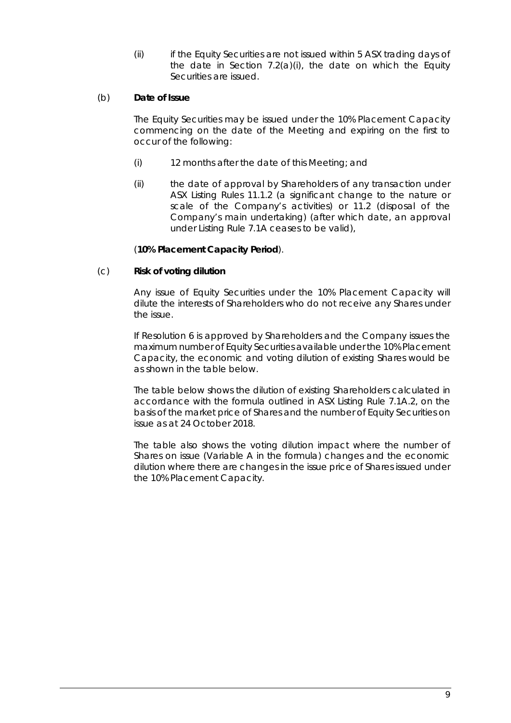(ii) if the Equity Securities are not issued within 5 ASX trading days of the date in Section [7.2\(a\)\(i\),](#page-9-0) the date on which the Equity Securities are issued.

#### (b) **Date of Issue**

The Equity Securities may be issued under the 10% Placement Capacity commencing on the date of the Meeting and expiring on the first to occur of the following:

- (i) 12 months after the date of this Meeting; and
- (ii) the date of approval by Shareholders of any transaction under ASX Listing Rules 11.1.2 (a significant change to the nature or scale of the Company's activities) or 11.2 (disposal of the Company's main undertaking) (after which date, an approval under Listing Rule 7.1A ceases to be valid),

#### (**10% Placement Capacity Period**).

#### (c) **Risk of voting dilution**

Any issue of Equity Securities under the 10% Placement Capacity will dilute the interests of Shareholders who do not receive any Shares under the issue.

If [Resolution 6](#page-3-2) is approved by Shareholders and the Company issues the maximum number of Equity Securities available under the 10% Placement Capacity, the economic and voting dilution of existing Shares would be as shown in the table below.

The table below shows the dilution of existing Shareholders calculated in accordance with the formula outlined in ASX Listing Rule 7.1A.2, on the basis of the market price of Shares and the number of Equity Securities on issue as at 24 October 2018.

The table also shows the voting dilution impact where the number of Shares on issue (Variable A in the formula) changes and the economic dilution where there are changes in the issue price of Shares issued under the 10% Placement Capacity.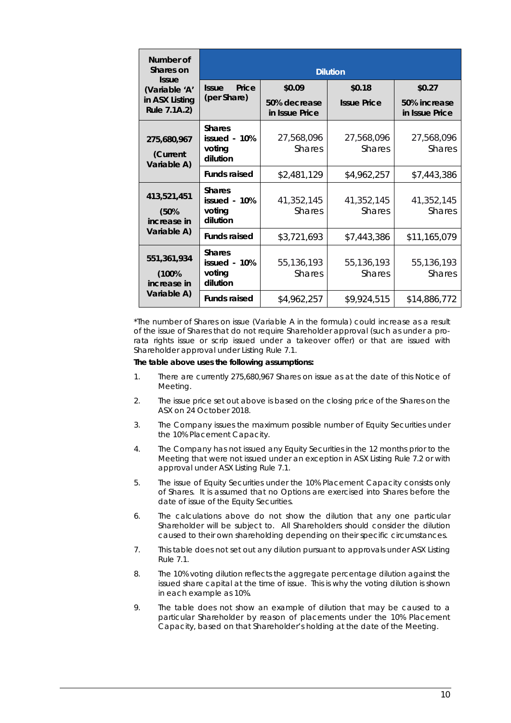| Number of<br>Shares on<br><b>Issue</b><br>(Variable 'A'<br>in ASX Listing<br>Rule 7.1A.2) | <b>Dilution</b>                                     |                                |                             |                                |  |  |
|-------------------------------------------------------------------------------------------|-----------------------------------------------------|--------------------------------|-----------------------------|--------------------------------|--|--|
|                                                                                           | Price<br><b>Issue</b>                               | \$0.09                         | \$0.18                      | \$0.27                         |  |  |
|                                                                                           | (per Share)                                         | 50% decrease<br>in Issue Price | <b>Issue Price</b>          | 50% increase<br>in Issue Price |  |  |
| 275,680,967<br>(Current<br>Variable A)                                                    | <b>Shares</b><br>issued - 10%<br>voting<br>dilution | 27,568,096<br><b>Shares</b>    | 27,568,096<br><b>Shares</b> | 27,568,096<br><b>Shares</b>    |  |  |
|                                                                                           | <b>Funds raised</b>                                 | \$2,481,129                    | \$4,962,257                 | \$7,443,386                    |  |  |
| 413,521,451<br>(50%<br>increase in<br>Variable A)                                         | <b>Shares</b><br>issued - 10%<br>voting<br>dilution | 41,352,145<br><b>Shares</b>    | 41,352,145<br><b>Shares</b> | 41,352,145<br><b>Shares</b>    |  |  |
|                                                                                           | <b>Funds raised</b>                                 | \$3,721,693                    | \$7,443,386                 | \$11,165,079                   |  |  |
| 551,361,934<br>(100%<br>increase in<br>Variable A)                                        | <b>Shares</b><br>issued - 10%<br>voting<br>dilution | 55,136,193<br><b>Shares</b>    | 55,136,193<br><b>Shares</b> | 55,136,193<br><b>Shares</b>    |  |  |
|                                                                                           | <b>Funds raised</b>                                 | \$4,962,257                    | \$9,924,515                 | \$14,886,772                   |  |  |

\*The number of Shares on issue (Variable A in the formula) could increase as a result of the issue of Shares that do not require Shareholder approval (such as under a prorata rights issue or scrip issued under a takeover offer) or that are issued with Shareholder approval under Listing Rule 7.1.

#### **The table above uses the following assumptions:**

- 1. There are currently 275,680,967 Shares on issue as at the date of this Notice of Meeting.
- 2. The issue price set out above is based on the closing price of the Shares on the ASX on 24 October 2018.
- 3. The Company issues the maximum possible number of Equity Securities under the 10% Placement Capacity.
- 4. The Company has not issued any Equity Securities in the 12 months prior to the Meeting that were not issued under an exception in ASX Listing Rule 7.2 or with approval under ASX Listing Rule 7.1.
- 5. The issue of Equity Securities under the 10% Placement Capacity consists only of Shares. It is assumed that no Options are exercised into Shares before the date of issue of the Equity Securities.
- 6. The calculations above do not show the dilution that any one particular Shareholder will be subject to. All Shareholders should consider the dilution caused to their own shareholding depending on their specific circumstances.
- 7. This table does not set out any dilution pursuant to approvals under ASX Listing Rule 7.1.
- 8. The 10% voting dilution reflects the aggregate percentage dilution against the issued share capital at the time of issue. This is why the voting dilution is shown in each example as 10%.
- 9. The table does not show an example of dilution that may be caused to a particular Shareholder by reason of placements under the 10% Placement Capacity, based on that Shareholder's holding at the date of the Meeting.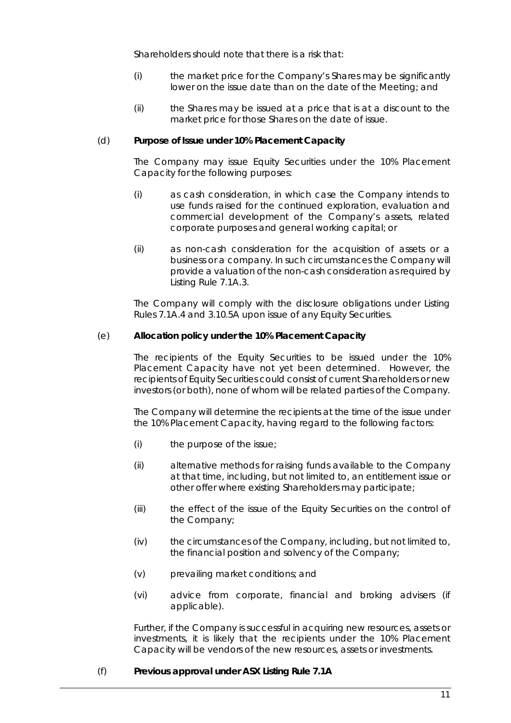Shareholders should note that there is a risk that:

- (i) the market price for the Company's Shares may be significantly lower on the issue date than on the date of the Meeting; and
- (ii) the Shares may be issued at a price that is at a discount to the market price for those Shares on the date of issue.

#### (d) **Purpose of Issue under 10% Placement Capacity**

The Company may issue Equity Securities under the 10% Placement Capacity for the following purposes:

- (i) as cash consideration, in which case the Company intends to use funds raised for the continued exploration, evaluation and commercial development of the Company's assets, related corporate purposes and general working capital; or
- (ii) as non-cash consideration for the acquisition of assets or a business or a company. In such circumstances the Company will provide a valuation of the non-cash consideration as required by Listing Rule 7.1A.3.

The Company will comply with the disclosure obligations under Listing Rules 7.1A.4 and 3.10.5A upon issue of any Equity Securities.

#### (e) **Allocation policy under the 10% Placement Capacity**

The recipients of the Equity Securities to be issued under the 10% Placement Capacity have not yet been determined. However, the recipients of Equity Securities could consist of current Shareholders or new investors (or both), none of whom will be related parties of the Company.

The Company will determine the recipients at the time of the issue under the 10% Placement Capacity, having regard to the following factors:

- (i) the purpose of the issue;
- (ii) alternative methods for raising funds available to the Company at that time, including, but not limited to, an entitlement issue or other offer where existing Shareholders may participate;
- (iii) the effect of the issue of the Equity Securities on the control of the Company;
- (iv) the circumstances of the Company, including, but not limited to, the financial position and solvency of the Company;
- (v) prevailing market conditions; and
- (vi) advice from corporate, financial and broking advisers (if applicable).

Further, if the Company is successful in acquiring new resources, assets or investments, it is likely that the recipients under the 10% Placement Capacity will be vendors of the new resources, assets or investments.

#### (f) **Previous approval under ASX Listing Rule 7.1A**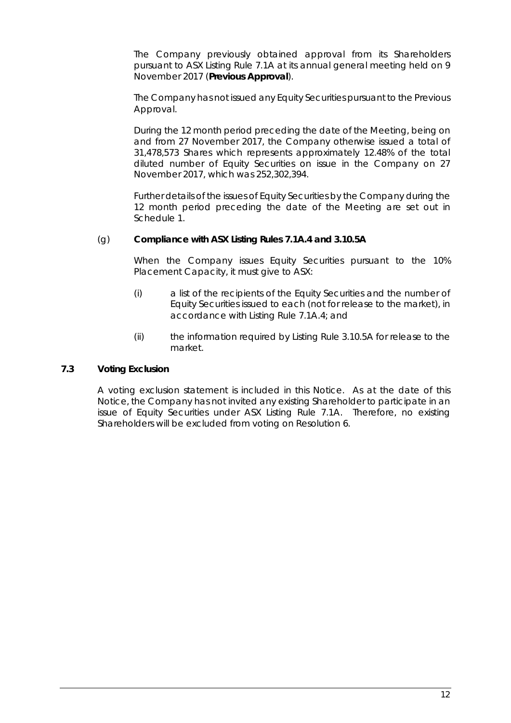The Company previously obtained approval from its Shareholders pursuant to ASX Listing Rule 7.1A at its annual general meeting held on 9 November 2017 (**Previous Approval**).

The Company has not issued any Equity Securities pursuant to the Previous Approval.

During the 12 month period preceding the date of the Meeting, being on and from 27 November 2017, the Company otherwise issued a total of 31,478,573 Shares which represents approximately 12.48% of the total diluted number of Equity Securities on issue in the Company on 27 November 2017, which was 252,302,394.

Further details of the issues of Equity Securities by the Company during the 12 month period preceding the date of the Meeting are set out in Schedule 1.

#### (g) **Compliance with ASX Listing Rules 7.1A.4 and 3.10.5A**

When the Company issues Equity Securities pursuant to the 10% Placement Capacity, it must give to ASX:

- (i) a list of the recipients of the Equity Securities and the number of Equity Securities issued to each (not for release to the market), in accordance with Listing Rule 7.1A.4; and
- (ii) the information required by Listing Rule 3.10.5A for release to the market.

#### **7.3 Voting Exclusion**

A voting exclusion statement is included in this Notice. As at the date of this Notice, the Company has not invited any existing Shareholder to participate in an issue of Equity Securities under ASX Listing Rule 7.1A. Therefore, no existing Shareholders will be excluded from voting on [Resolution 6.](#page-3-2)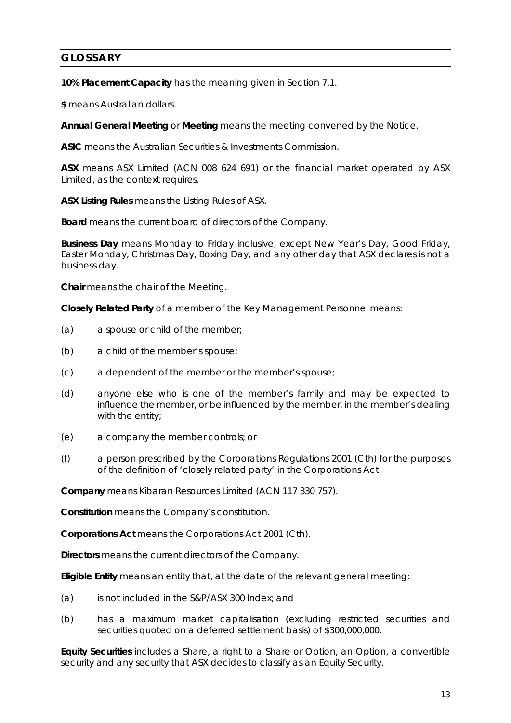### **GLOSSARY**

**10% Placement Capacity** has the meaning given in Section [7.1.](#page-9-1)

**\$** means Australian dollars.

**Annual General Meeting** or **Meeting** means the meeting convened by the Notice.

**ASIC** means the Australian Securities & Investments Commission.

**ASX** means ASX Limited (ACN 008 624 691) or the financial market operated by ASX Limited, as the context requires.

**ASX Listing Rules** means the Listing Rules of ASX.

**Board** means the current board of directors of the Company.

**Business Day** means Monday to Friday inclusive, except New Year's Day, Good Friday, Easter Monday, Christmas Day, Boxing Day, and any other day that ASX declares is not a business day.

**Chair** means the chair of the Meeting.

**Closely Related Party** of a member of the Key Management Personnel means:

- (a) a spouse or child of the member;
- (b) a child of the member's spouse;
- (c) a dependent of the member or the member's spouse;
- (d) anyone else who is one of the member's family and may be expected to influence the member, or be influenced by the member, in the member's dealing with the entity;
- (e) a company the member controls; or
- (f) a person prescribed by the Corporations Regulations 2001 (Cth) for the purposes of the definition of 'closely related party' in the Corporations Act.

**Company** means Kibaran Resources Limited (ACN 117 330 757).

**Constitution** means the Company's constitution.

**Corporations Act** means the *Corporations Act 2001* (Cth).

**Directors** means the current directors of the Company.

**Eligible Entity** means an entity that, at the date of the relevant general meeting:

- (a) is not included in the S&P/ASX 300 Index; and
- (b) has a maximum market capitalisation (excluding restricted securities and securities quoted on a deferred settlement basis) of \$300,000,000.

**Equity Securities** includes a Share, a right to a Share or Option, an Option, a convertible security and any security that ASX decides to classify as an Equity Security.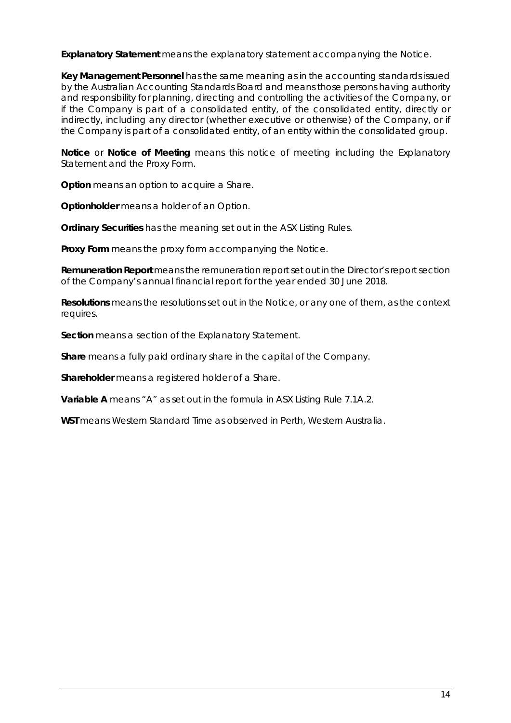**Explanatory Statement** means the explanatory statement accompanying the Notice.

**Key Management Personnel** has the same meaning as in the accounting standards issued by the Australian Accounting Standards Board and means those persons having authority and responsibility for planning, directing and controlling the activities of the Company, or if the Company is part of a consolidated entity, of the consolidated entity, directly or indirectly, including any director (whether executive or otherwise) of the Company, or if the Company is part of a consolidated entity, of an entity within the consolidated group.

**Notice** or **Notice of Meeting** means this notice of meeting including the Explanatory Statement and the Proxy Form.

**Option** means an option to acquire a Share.

**Optionholder** means a holder of an Option.

**Ordinary Securities** has the meaning set out in the ASX Listing Rules.

**Proxy Form** means the proxy form accompanying the Notice.

**Remuneration Report** means the remuneration report set out in the Director's report section of the Company's annual financial report for the year ended 30 June 2018.

**Resolutions** means the resolutions set out in the Notice, or any one of them, as the context requires.

**Section** means a section of the Explanatory Statement.

**Share** means a fully paid ordinary share in the capital of the Company.

**Shareholder** means a registered holder of a Share.

**Variable A** means "A" as set out in the formula in ASX Listing Rule 7.1A.2.

**WST** means Western Standard Time as observed in Perth, Western Australia.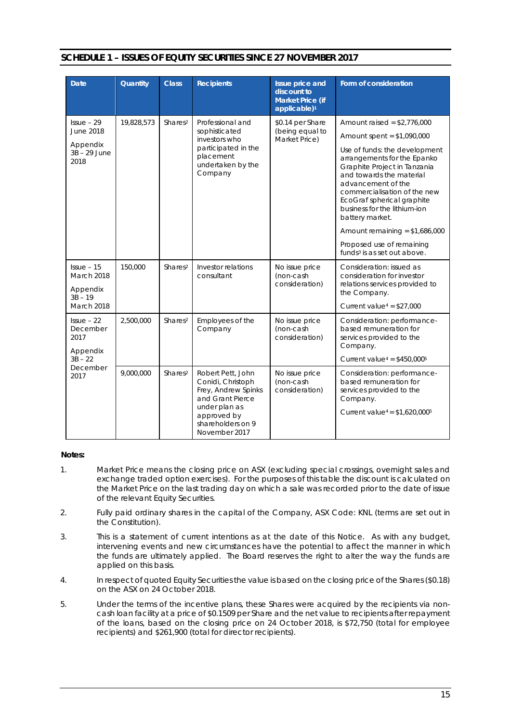| <b>Date</b>                                                                    | Quantity   | <b>Class</b>        | <b>Recipients</b>                                                                                                                                       | <b>Issue price and</b><br>discount to<br><b>Market Price (if</b> | Form of consideration                                                                                                                                                                                                                                           |
|--------------------------------------------------------------------------------|------------|---------------------|---------------------------------------------------------------------------------------------------------------------------------------------------------|------------------------------------------------------------------|-----------------------------------------------------------------------------------------------------------------------------------------------------------------------------------------------------------------------------------------------------------------|
|                                                                                |            |                     |                                                                                                                                                         | applicable) <sup>1</sup>                                         |                                                                                                                                                                                                                                                                 |
| $Is sue - 29$<br><b>June 2018</b><br>Appendix<br>3B - 29 June<br>2018          | 19,828,573 | Shares <sup>2</sup> | Professional and<br>sophisticated<br>investors who<br>participated in the<br>placement<br>undertaken by the<br>Company                                  | \$0.14 per Share<br>(being equal to<br>Market Price)             | Amount raised = $$2,776,000$                                                                                                                                                                                                                                    |
|                                                                                |            |                     |                                                                                                                                                         |                                                                  | Amount spent = $$1,090,000$                                                                                                                                                                                                                                     |
|                                                                                |            |                     |                                                                                                                                                         |                                                                  | Use of funds: the development<br>arrangements for the Epanko<br>Graphite Project in Tanzania<br>and towards the material<br>advancement of the<br>commercialisation of the new<br>EcoGraf spherical graphite<br>business for the lithium-ion<br>battery market. |
|                                                                                |            |                     |                                                                                                                                                         |                                                                  | Amount remaining = $$1,686,000$                                                                                                                                                                                                                                 |
|                                                                                |            |                     |                                                                                                                                                         |                                                                  | Proposed use of remaining<br>funds <sup>3</sup> is as set out above.                                                                                                                                                                                            |
| $Is sue - 15$<br>March 2018<br>Appendix<br>$3B - 19$                           | 150,000    | Shares <sup>2</sup> | Investor relations<br>consultant                                                                                                                        | No issue price<br>(non-cash<br>consideration)                    | Consideration: issued as<br>consideration for investor<br>relations services provided to<br>the Company.                                                                                                                                                        |
| <b>March 2018</b>                                                              |            |                     |                                                                                                                                                         |                                                                  | Current value <sup>4</sup> = $$27,000$                                                                                                                                                                                                                          |
| $l$ ssue – 22<br>December<br>2017<br>Appendix<br>$3B - 22$<br>December<br>2017 | 2,500,000  | Shares <sup>2</sup> | Employees of the<br>Company                                                                                                                             | No issue price<br>(non-cash<br>consideration)                    | Consideration: performance-<br>based remuneration for<br>services provided to the<br>Company.                                                                                                                                                                   |
|                                                                                |            |                     |                                                                                                                                                         |                                                                  | Current value <sup>4</sup> = $$450,000$ <sup>5</sup>                                                                                                                                                                                                            |
|                                                                                | 9,000,000  | Shares <sup>2</sup> | Robert Pett, John<br>Conidi, Christoph<br>Frey, Andrew Spinks<br>and Grant Pierce<br>under plan as<br>approved by<br>shareholders on 9<br>November 2017 | No issue price<br>(non-cash<br>consideration)                    | Consideration: performance-<br>based remuneration for<br>services provided to the<br>Company.<br>Current value <sup>4</sup> = $$1,620,000$ <sup>5</sup>                                                                                                         |

#### **SCHEDULE 1 – ISSUES OF EQUITY SECURITIES SINCE 27 NOVEMBER 2017**

#### **Notes:**

- 1. Market Price means the closing price on ASX (excluding special crossings, overnight sales and exchange traded option exercises). For the purposes of this table the discount is calculated on the Market Price on the last trading day on which a sale was recorded prior to the date of issue of the relevant Equity Securities.
- 2. Fully paid ordinary shares in the capital of the Company, ASX Code: KNL (terms are set out in the Constitution).
- 3. This is a statement of current intentions as at the date of this Notice. As with any budget, intervening events and new circumstances have the potential to affect the manner in which the funds are ultimately applied. The Board reserves the right to alter the way the funds are applied on this basis.
- 4. In respect of quoted Equity Securities the value is based on the closing price of the Shares (\$0.18) on the ASX on 24 October 2018.
- 5. Under the terms of the incentive plans, these Shares were acquired by the recipients via noncash loan facility at a price of \$0.1509 per Share and the net value to recipients after repayment of the loans, based on the closing price on 24 October 2018, is \$72,750 (total for employee recipients) and \$261,900 (total for director recipients).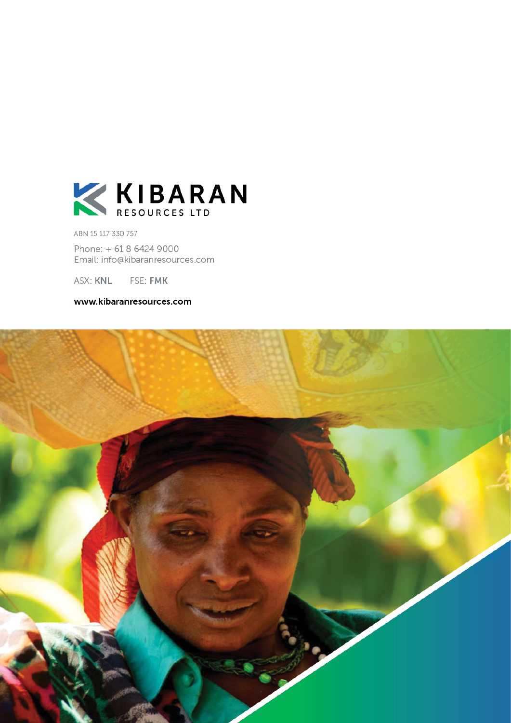

ABN 15 117 330 757

Phone: + 61 8 6424 9000 Email: info@kibaranresources.com

ASX: KNL FSE: FMK

www.kibaranresources.com

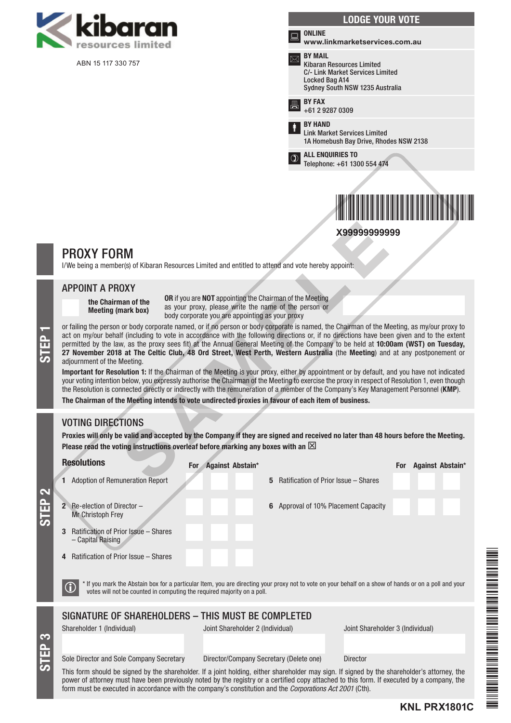

ABN 15 117 330 757



# \*X99999999999\* **X99999999999**

### PROXY FORM

I/We being a member(s) of Kibaran Resources Limited and entitled to attend and vote hereby appoint:

#### APPOINT A PROXY

the Chairman of the Meeting (mark box)

OR if you are NOT appointing the Chairman of the Meeting as your proxy, please write the name of the person or body corporate you are appointing as your proxy

or failing the person or body corporate named, or if no person or body corporate is named, the Chairman of the Meeting, as my/our proxy to<br>act on my/our behalf (including to vote in accordance with the following directions act on my/our behalf (including to vote in accordance with the following directions or, if no directions have been given and to the extent permitted by the law, as the proxy sees fit) at the Annual General Meeting of the Company to be held at 10:00am (WST) on Tuesday, adjournment of the Meeting. SAMPLE

Important for Resolution 1: If the Chairman of the Meeting is your proxy, either by appointment or by default, and you have not indicated your voting intention below, you expressly authorise the Chairman of the Meeting to exercise the proxy in respect of Resolution 1, even though the Resolution is connected directly or indirectly with the remuneration of a member of the Company's Key Management Personnel (KMP).

The Chairman of the Meeting intends to vote undirected proxies in favour of each item of business.

### VOTING DIRECTIONS

Proxies will only be valid and accepted by the Company if they are signed and received no later than 48 hours before the Meeting. Please read the voting instructions overleaf before marking any boxes with an  $\boxtimes$ 

Resolutions

S<br>EP 3

 $\overline{\bullet}$ 

Shareholder 1 (Individual) Joint Shareholder 2 (Individual) Joint Shareholder 3 (Individual) SIGNATURE OF SHAREHOLDERS – THIS MUST BE COMPLETED  $\bigcirc$  \* If you mark the Abstain box for a particular Item, you are directing your proxy not to vote on your behalf on a show of hands or on a poll and your votes will not be counted in computing the required majority on a 1 Adoption of Remuneration Report 5 Ratification of Prior Issue – Shares 2 Re-election of Director – Mr Christoph Frey 6 Approval of 10% Placement Capacity 3 Ratification of Prior Issue – Shares – Capital Raising 4 Ratification of Prior Issue – Shares For Against Abstain\* For Against Abstain\*

**KNL PRX1801C**

#### Sole Director and Sole Company Secretary Director/Company Secretary (Delete one) Director

This form should be signed by the shareholder. If a joint holding, either shareholder may sign. If signed by the shareholder's attorney, the power of attorney must have been previously noted by the registry or a certified copy attached to this form. If executed by a company, the form must be executed in accordance with the company's constitution and the *Corporations Act 2001* (Cth).

\*KNL PRANA PRANA PRANA PRANA PRANA PRANA PRANA PRANA PRANA PRANA PRANA PRANA PRANA PRANA PRANA PRANA PRANA PRA